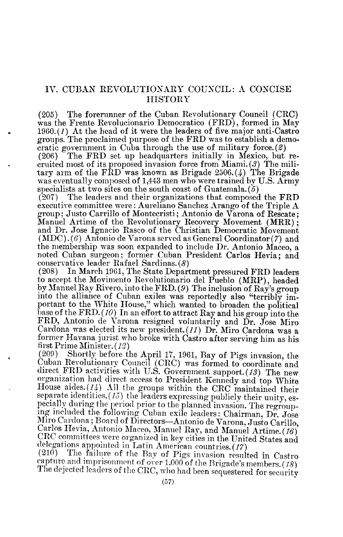## IV. CUBAN REVOLUTIONARY COUNCIL: A CONCISE **HISTORY**

(205) The forerunner of the Cuban Revolutionary Council (CRC) was the Frente Revolucionario Democratico (FRD), formed in May 1960. $(1)$  At the head of it were the leaders of five major anti-Castro groups. The proclaimed purpose of the FRD was to establish <sup>a</sup> democratic government in Cuba through the use of military force.  $(2)$ <br> $(206)$  The FRD set up headquarters initially in Mexico, but

The FRD set up headquarters initially in Mexico, but recruited most of its proposed invasion force from Miami. (3) The military arm of the  $\widehat{FRD}$  was known as Brigade 2506.(4) The Brigade was eventually composed of 1,443 men who were trained by U.S. Army specialists at two sites on the south coast of Guatemala.  $(5)$ <br>(207) The leaders and their organizations that composed

The leaders and their organizations that composed the FRD executive committee were : Aureliano Sanchez Arango of the Triple  $A$ group ; Justo Carrillo of Montecristi ; Antonio de Varona of Rescate ; Manuel Artime of the Revolutionary Recovery Movement (MRR);<br>and Du, Jaco Jamesie Research the Christian Domesmatic Manufacture and Dr. Jose Ignacio Rasco of the Christian Democratic Movement (MDC). (6) Antonio de Varona served as General Coordinator (7) and the membership was soon expanded to include Dr. Antonio Maceo, <sup>a</sup> noted Cuban surgeon; former Cuban President Carlos Hevia; and conservative leader Rafael Sardinas. (8)<br>(208) In March 1961, The State Depart

In March 1961, The State Department pressured FRD leaders to accept the Movimento Revolutionario del Pueblo (MRP), headed by Manuel Ray Rivero, into the FRD. (9) The inclusion of Ray's group into the alliance of Cuban exiles was reportedly also "terribly important to the White House," which wanted to broaden the political base of the FRD. (10) In an effort to attract Ray and his group into the FRD, Antonio de Varona resigned voluntarily and Dr. Jose Miro Cardona was elected its new president. (11) Dr. Miro Cardona was <sup>a</sup> former Havana jurist who broke with Castro after serving him as his<br>first Prime Minister.  $(12)$ <br>(209) Shortly before the April 17, 1961. Bay of Pigs invesion, the

(209) Shortly before the April 17, 1961, Bay of Pigs invasion, the direct FRD activities with U.S. Government support. (13) The new organization had direct access to President Kennedy and top White House aides. (14) All the groups within the CRC maintained their separate identities,  $(15)$  the leaders expressing publicly their unity, especially during the period prior to the planned invasion. The regrouping included the following Cuban exile leaders: Chairman, Dr. Jose Miro Cardo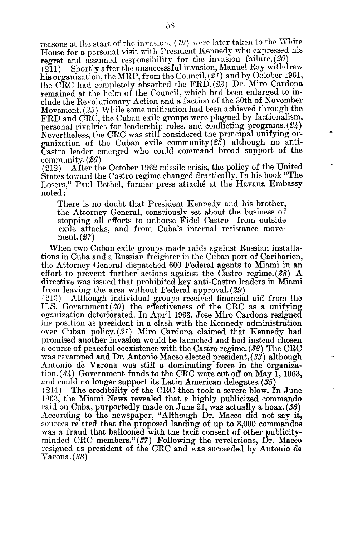reasons at the start of the invasion,  $(19)$  were later taken to the White House for a personal visit with President Kennedy who expressed his

regret and assumed responsibility for the invasion failure.  $(20)$ <br> $(211)$  Shortly after the unsuccessful invasion, Manuel Ray withd Shortly after the unsuccessful invasion, Manuel Ray withdrew his organization, the MRP, from the Council,  $(\hat{21})$  and by October 1961, the CRC had completely absorbed the FRD. (22) Dr. Miro Cardona remained at the helm of the Council, which had been enlarged to include the Revolutionary Action and a faction of the 30th of November Movement.  $(23)$  While some unification had been achieved through the  $R_{\text{D}}$ FRD and CRC, the Cuban exile groups were plagued by factionalism,<br>parsonal nivelyies for leadership roles, and conflicting programs (24) ersonal rivalries for leadership roles, and conflicting programs. (24) Nevertheless, the CRC was still considered the principal unifying organization of the Cuban exile community( $\mathscr{L}(\mathscr{L})$  although no anti-Castro leader emerged who could command broad support of the

 $\begin{array}{cc}\text{community.}(\mathcal{B}6)\text{(212)}&\text{After th}\end{array}$ After the October 1962 missile crisis, the policy of the United States toward the Castro regime changed drastically. In his book "The Losers," Paul Bethel, former press attaché at the Havana Embassy noted

There is no doubt that President Kennedy and his brother, the Attorney General, consciously set about the business of stopping all efforts to unhorse Fidel Castro-from outside exile attacks, and from Cuba's internal resistance movement. (27)

When two Cuban exile groups made raids against Russian installations in Cuba and <sup>a</sup> Russian freighter in the Cuban port of Caribarien, the Attorney General dispatched 600 Federal agents to Miami in an effort to prevent further actions against the Castro regime.  $(28)$  A directive was issued that prohibited key anti-Castro leaders in Miami from leaving the area without Federal approval.  $(29)$  . Although individual groups received financia

Although individual groups received financial aid from the U.S. Government(30) the effectiveness of the CRC as a unifying oganization deteriorated. In April 1963, Jose Miro Cardona resigned his position as president in a clash with the Kennedy administration over Cuban policy.  $(31)$  Miro Cardona claimed that Kennedy had promised another invasion would be launched and had instead chosen a course of peaceful coexistence with the Castro regime. (32) The CRC was revamped and Dr. Antonio Maceo elected president, (33) although Antonio de Varona was still a dominating force in the organization  $(34)$  Government funds to the CRC were cut off on May 1, 1963, and could no longer support its Latin American delegates.  $(\hat{35})$  (214) The credibility of the CRC then took a severe blow. I

ò

The credibility of the CRC then took a severe blow. In June 1963, the Miami News revealed that a highly publicized commando raid on Cuba, purportedly made on June 21, was actually a hoax.  $(36)$ According to the newspaper, "Although Dr. Maceo did not say it, sources related that the proposed landing of up to 3,000 commandos was a fraud that ballooned with the tacit consent of other publicityminded CRC members." $(37)$  Following the revelations, Dr. Maceo resigned as president of the CRC and was succeeded by Antonio de Varona. (38)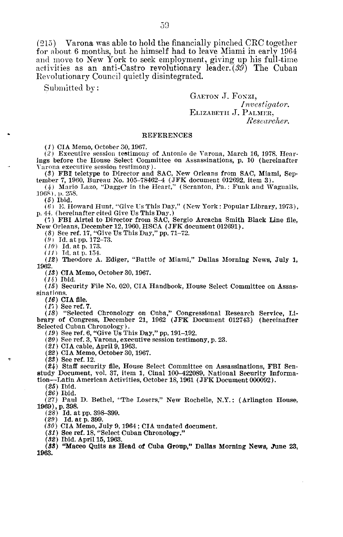(215) Varona was able to hold the financially pinched CRC together for about, 6 months, but he himself had to leave Miami in early 1964 and move to New York to seek employment, giving up his full-time activities as an anti-Castro revolutionary leader. (39) The Cuban Revolutionary Council quietly disintegrated.

Submitted by:

GAETON J. Foxzi, Investigator. ELIZABETH J. PALMER. Researcher.

## REFERENCES

(1) CIA Memo, October 30, 1967.

 $(2)$  Executive session testimony of Antonio de Varona, March 16, 1978. Hearings before the House Select Committee on Assassinations, p. <sup>10</sup> (hereinafter Varona executive session testimony) .

(8) FBI, teletype to Director and SAC, New Orleans from SAC, Miami, September 7, 1960, Bureau No. 105-78462-4 (JFK document 012692, item 3) .

(4) Mario Lazo, "Dagger in the Heart," (Scranton, Pa. : Funk and wagualls, 1968), p. 258.

 $(5)$  Ibid.

 $(6)$  E. Howard Hunt, "Give Us This Day," (New York : Popular Library, 1973), p. 44. (hereinafter cited Give Us This Day.)

(1) FBI Airtel to Director from SAC, Sergio Arcacha Smith Black Line file, New Orleans, December 12,1960, HSCA (JFK document 012691) .

(8) See ref. 17, "Give Us This Day," pp. 71–72.<br>(9) Id. at pp. 172–73.

(10) Id. at p. 173.

 $(11)$  Id. at p. 154.

(12) Theodore A. Ediger, "Battle of Miami," Dallas Morning News, July 1, 1962.

(18) CIA Memo, October 30, 1967.

 $(14)$  Ibid.

(15) Security File No. 020, CIA Handbook, House Select Committee on Assassinations.

(16) CIA file.

(17) See ref. 7.<br>(18) "Selected Chronology on Cuba," Congressional Research Service, Library of Congress, December 21, 1962 (JFK Document 012743) (hereinafter Selected Cuban Chronology) .

(19) See ref. 6, "Give Us This Day," pp. 191-192 . (20) See ref . 3, Varona, executive session testimony, p. 23.

(21) CIA cable, April 9, 1963.

(22) CIA Memo, October 30, 1967.

(23) See ref. 12.

(24) Staff security file, House Select Committee on Assassinations, FBI Senstudy Document, vol . 37, item 1, Cinal 100-422089, National Security Informa-

tion-Latin American Activities, October 18, 1961 (JFK Document 000092) .

 $(25)$  Ibid.

(26) Ibid.

(27) Paul D. Bethel, "The Losers," New Rochelle, N.Y . : (Arlington House, 1969), p. 398.

(28) Id. at pp. 398-399.<br>(29) Id. at p. 399.

(29) Id. at p. 399. (30) CIA Memo, July 9,1964 ; CIA undated document.

(31) See ref. 18, "Select Cuban Chronology."<br>(80) This April 15, 1969

(32) Ibid. April 15, 1963.

(83) "Maceo Quits as Head of Cuba Group," Dallas Morning News, June 23, 1963.